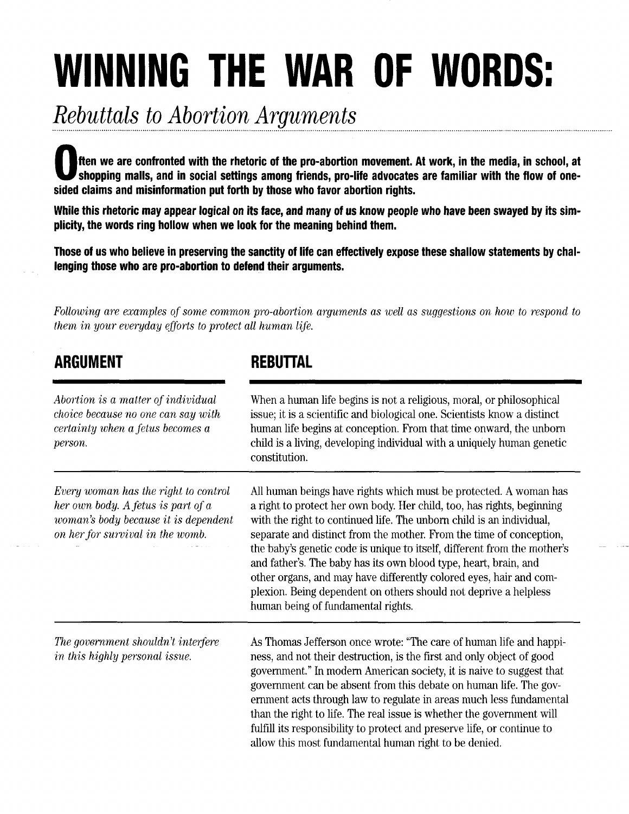## WINNING THE WAR OF WORDS:

## Rebuttals to Abortion Arguments

ften we are confronted with the rhetoric of the pro-abortion movement. At work, in the media, in school, at shopping malls, and in social settings among friends, pro-life advocates are familiar with the flow of onesided claims and misinformation put forth by those who favor abortion rights.

While this rhetoric may appear logical on its face, and many of us know people who have been swayed by its sim' plicity, the words ring hollow when we look for the meaning behind them.

Those of us who believe in preserving the sanctity of life can effectively expose these shallow statements bychallenging those who are pro-abortion to defend their arguments.

Following are examples of some common pro-abortion arguments as well as suggestions on how to respond to them in your euergday efforts to protect all human life.

| ARGUMENT                                                                                                                                               | <b>REBUTTAL</b>                                                                                                                                                                                                                                                                                                                                                                                                                                                                                                                                                                                                            |
|--------------------------------------------------------------------------------------------------------------------------------------------------------|----------------------------------------------------------------------------------------------------------------------------------------------------------------------------------------------------------------------------------------------------------------------------------------------------------------------------------------------------------------------------------------------------------------------------------------------------------------------------------------------------------------------------------------------------------------------------------------------------------------------------|
| Abortion is a matter of individual<br>choice because no one can say with<br>certainty when a fetus becomes a<br>person.                                | When a human life begins is not a religious, moral, or philosophical<br>issue; it is a scientific and biological one. Scientists know a distinct<br>human life begins at conception. From that time onward, the unborn<br>child is a living, developing individual with a uniquely human genetic<br>constitution.                                                                                                                                                                                                                                                                                                          |
| Every woman has the right to control<br>her own body. A fetus is part of a<br>woman's body because it is dependent<br>on her for survival in the womb. | All human beings have rights which must be protected. A woman has<br>a right to protect her own body. Her child, too, has rights, beginning<br>with the right to continued life. The unborn child is an individual,<br>separate and distinct from the mother. From the time of conception,<br>the baby's genetic code is unique to itself, different from the mother's<br>and father's. The baby has its own blood type, heart, brain, and<br>other organs, and may have differently colored eyes, hair and com-<br>plexion. Being dependent on others should not deprive a helpless<br>human being of fundamental rights. |
| The government shouldn't interfere<br>in this highly personal issue.                                                                                   | As Thomas Jefferson once wrote: "The care of human life and happi-<br>ness, and not their destruction, is the first and only object of good<br>government." In modern American society, it is naive to suggest that<br>government can be absent from this debate on human life. The gov-<br>ernment acts through law to regulate in areas much less fundamental<br>than the right to life. The real issue is whether the government will<br>fulfill its responsibility to protect and preserve life, or continue to<br>allow this most fundamental human right to be denied.                                               |